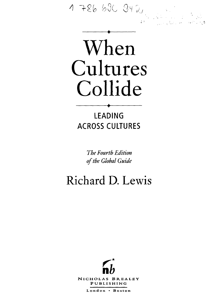



LEADING ACROSS CULTURES

> *The Fourth Edition*  of the Global Guide

# Richard D. Lewis



NlCHOLAS BREALBY PUBLISHING

London • Boston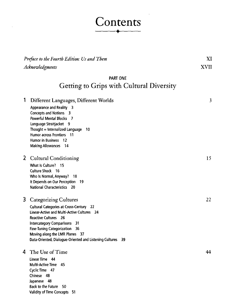# Contents  $\ddot{\phantom{1}}$

| Preface to the Fourth Edition: Us and Them<br>Acknowledgments |                                                                                                                                                                                                                                                                                                                                              | XI<br><b>XVII</b> |  |
|---------------------------------------------------------------|----------------------------------------------------------------------------------------------------------------------------------------------------------------------------------------------------------------------------------------------------------------------------------------------------------------------------------------------|-------------------|--|
|                                                               |                                                                                                                                                                                                                                                                                                                                              |                   |  |
| Getting to Grips with Cultural Diversity                      |                                                                                                                                                                                                                                                                                                                                              |                   |  |
| 1                                                             | Different Languages, Different Worlds<br>Appearance and Reality 3<br><b>Concepts and Notions 3</b><br>Powerful Mental Blocks 7<br>Language Straitjacket 9<br>Thought = Internalized Language $10$<br>Humor across Frontiers 11<br>Humor in Business 12<br><b>Making Allowances</b> 14                                                        | 3                 |  |
|                                                               | 2 Cultural Conditioning<br>What Is Culture? 15<br>Culture Shock 16<br>Who is Normal, Anyway?<br>- 18<br>It Depends on Our Perception 19<br>National Characteristics 20                                                                                                                                                                       | 15                |  |
| 3                                                             | <b>Categorizing Cultures</b><br><b>Cultural Categories at Cross-Century 22</b><br>Linear-Active and Multi-Active Cultures 24<br><b>Reactive Cultures</b> 26<br>Intercategory Comparisons<br>-31<br><b>Fine-Tuning Categorization</b><br>- 36<br>Moving along the LMR Planes 37<br>Data-Oriented, Dialogue-Oriented and Listening Cultures 39 | 22.               |  |
| 4                                                             | The Use of Time<br>Linear Time 44<br>Multi-Active Time 45<br>Cyclic Time 47<br>Chinese<br>48<br>48<br>Japanese                                                                                                                                                                                                                               | 44                |  |

Back to the Future 50 Validity of Time Concepts 51

 $\bar{\lambda}$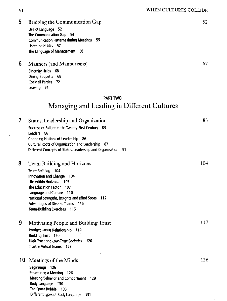5 Bridging the Communication Gap 52 Use of Language 52

The Communication Gap 54 Communication Pattems during Meetings 55 Listening Habits 57 The Language of Management 58

6 Manners (and Mannerisms) 67 Sincerity Helps 68 Dining Etiquette 68 Cocktail Parties 72 Leaving 74

Different Types of Body Language 131

# PART TWO Managing and Leading in Different Cultures

| 7  | Status, Leadership and Organization                             | 83  |
|----|-----------------------------------------------------------------|-----|
|    | Success or Failure in the Twenty-First Century 83<br>Leaders 86 |     |
|    | Changing Notions of Leadership 86                               |     |
|    | Cultural Roots of Organization and Leadership 87                |     |
|    | Different Concepts of Status, Leadership and Organization 91    |     |
| 8  | <b>Team Building and Horizons</b>                               | 104 |
|    | Team Building 104                                               |     |
|    | Innovation and Change 104                                       |     |
|    | Life within Horizons 105                                        |     |
|    | The Education Factor<br>107                                     |     |
|    | Language and Culture 110                                        |     |
|    | National Strengths, Insights and Blind Spots<br>- 112           |     |
|    | <b>Advantages of Diverse Teams 115</b>                          |     |
|    | <b>Team-Building Exercises 116</b>                              |     |
| 9  | Motivating People and Building Trust                            | 117 |
|    | <b>Product versus Relationship</b><br>- 119                     |     |
|    | <b>Building Trust 120</b>                                       |     |
|    | <b>High-Trust and Low-Trust Societies</b><br>-120               |     |
|    | Trust in Virtual Teams 123                                      |     |
| 10 | Meetings of the Minds                                           | 126 |
|    | Beginnings 126                                                  |     |
|    | <b>Structuring a Meeting 126</b>                                |     |
|    | Meeting Behavior and Comportment 129                            |     |
|    | Body Language 130                                               |     |
|    | The Space Bubble<br>130                                         |     |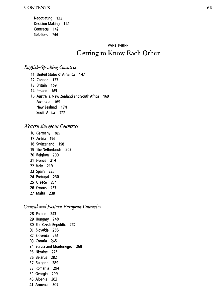Negotiating 133 Decision Making 141 Contracts 142 Solutions 144

# PART THREE Getting to Know Each Other

## *English-Speaking Countries*

- 11 United States of America 147
- 12 Canada 153
- 13 Britain 159
- 14 Ireland 165

15 Australia, New Zealand and South Africa 169 Australia 169 New Zealand 174 South Africa 177

# *Western European Countries*

- 16 Germany 185 17 Austria 194 18 Switzerland 198 19 The Netherlands 203 20 Belgium 209 21 France 214 22 Italy 219 23 Spain 225 24 Portugal 230 25 Greece 234 26 Cyprus 237
- 27 Malta 238

### *Central and Eastern European Countries*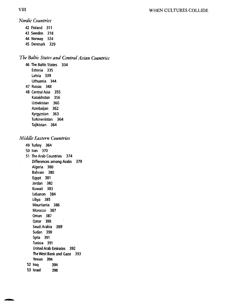### VIII WHEN CULTURES COLLIDE

*Nordic Countries* 

42 Finland 311 43 Sweden 318 44 Norway 324 45 Denmark 329

### *The Baltic States and Central Asian Countries*

46 The Baltic States 334 Estonia 335 Latvia 339 Lithuania 344 47 Russia 348 48 Central Asia 355 Kazakhstan 356 Uzbekistan 360 Azerbaijan 362 Kyrgyzstan 363 Turkmenistan 364 Tajikistan 364

#### *Middle Eastern Countries*

- 49 Turkey 364
- 50 Iran 370

51 The Arab Countries 374 Differences among Arabs 379 Algeria 380 Bahrain 380 Egypt 381 Jordan 382 Kuwait 383 Lebanon 384 Libya 385 Mauritania 386 Morocco 387 Oman 387 Qatar 388 Saudi Arabia *389*  Sudan 390 Syria 391 Tunisia 391 United Arab Emirates 392 The West Bank and Gaza 393 Yemen 394 52 Iraq 394 53 Israel 398